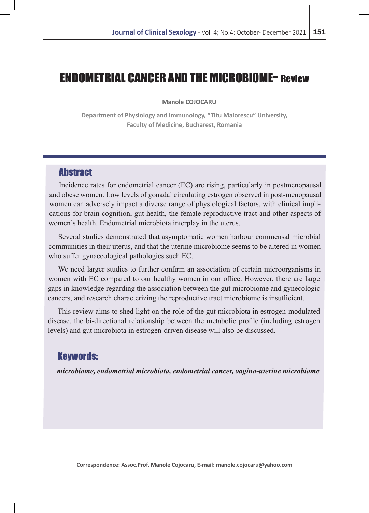# ENDOMETRIAL CANCER AND THE MICROBIOME- Review

**Manole COJOCARU**

**Department of Physiology and Immunology, "Titu Maiorescu" University, Faculty of Medicine, Bucharest, Romania**

# **Abstract**

Incidence rates for endometrial cancer (EC) are rising, particularly in postmenopausal and obese women. Low levels of gonadal circulating estrogen observed in post-menopausal women can adversely impact a diverse range of physiological factors, with clinical implications for brain cognition, gut health, the female reproductive tract and other aspects of women's health. Endometrial microbiota interplay in the uterus.

Several studies demonstrated that asymptomatic women harbour commensal microbial communities in their uterus, and that the uterine microbiome seems to be altered in women who suffer gynaecological pathologies such EC.

We need larger studies to further confirm an association of certain microorganisms in women with EC compared to our healthy women in our office. However, there are large gaps in knowledge regarding the association between the gut microbiome and gynecologic cancers, and research characterizing the reproductive tract microbiome is insufficient.

This review aims to shed light on the role of the gut microbiota in estrogen-modulated disease, the bi-directional relationship between the metabolic profile (including estrogen levels) and gut microbiota in estrogen-driven disease will also be discussed.

# Keywords:

*microbiome, endometrial microbiota, endometrial cancer, vagino-uterine microbiome*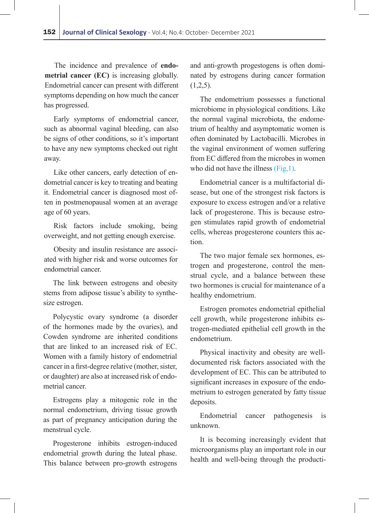The incidence and prevalence of **endometrial cancer (EC)** is increasing globally. Endometrial cancer can present with different symptoms depending on how much the cancer has progressed.

Early symptoms of endometrial cancer, such as abnormal vaginal bleeding, can also be signs of other conditions, so it's important to have any new symptoms checked out right away.

Like other cancers, early detection of endometrial cancer is key to treating and beating it. Endometrial cancer is diagnosed most often in postmenopausal women at an average age of 60 years.

Risk factors include smoking, being overweight, and not getting enough exercise.

Obesity and insulin resistance are associated with higher risk and worse outcomes for endometrial cancer.

The link between estrogens and obesity stems from adipose tissue's ability to synthesize estrogen.

Polycystic ovary syndrome (a disorder of the hormones made by the ovaries), and Cowden syndrome are inherited conditions that are linked to an increased risk of EC. Women with a family history of endometrial cancer in a first-degree relative (mother, sister, or daughter) are also at increased risk of endometrial cancer.

Estrogens play a mitogenic role in the normal endometrium, driving tissue growth as part of pregnancy anticipation during the menstrual cycle.

Progesterone inhibits estrogen-induced endometrial growth during the luteal phase. This balance between pro-growth estrogens

and anti-growth progestogens is often dominated by estrogens during cancer formation  $(1,2,5)$ .

The endometrium possesses a functional microbiome in physiological conditions. Like the normal vaginal microbiota, the endometrium of healthy and asymptomatic women is often dominated by Lactobacilli. Microbes in the vaginal environment of women suffering from EC differed from the microbes in women who did not have the illness (Fig, 1).

Endometrial cancer is a multifactorial disease, but one of the strongest risk factors is exposure to excess estrogen and/or a relative lack of progesterone. This is because estrogen stimulates rapid growth of endometrial cells, whereas progesterone counters this action.

The two major female sex hormones, estrogen and progesterone, control the menstrual cycle, and a balance between these two hormones is crucial for maintenance of a healthy endometrium.

Estrogen promotes endometrial epithelial cell growth, while progesterone inhibits estrogen-mediated epithelial cell growth in the endometrium.

Physical inactivity and obesity are welldocumented risk factors associated with the development of EC. This can be attributed to significant increases in exposure of the endometrium to estrogen generated by fatty tissue deposits.

Endometrial cancer pathogenesis is unknown.

It is becoming increasingly evident that microorganisms play an important role in our health and well-being through the producti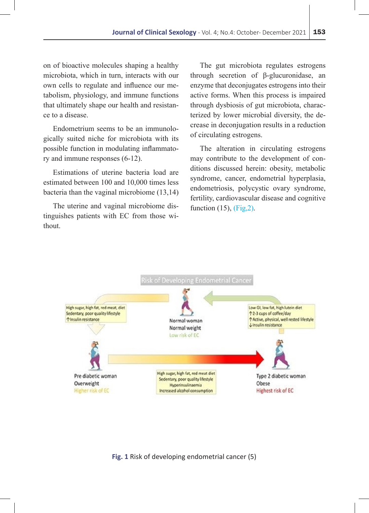on of bioactive molecules shaping a healthy microbiota, which in turn, interacts with our own cells to regulate and influence our metabolism, physiology, and immune functions that ultimately shape our health and resistance to a disease.

Endometrium seems to be an immunologically suited niche for microbiota with its possible function in modulating inflammatory and immune responses (6-12).

Estimations of uterine bacteria load are estimated between 100 and 10,000 times less bacteria than the vaginal microbiome (13,14)

The uterine and vaginal microbiome distinguishes patients with EC from those without.

The gut microbiota regulates estrogens through secretion of β-glucuronidase, an enzyme that deconjugates estrogens into their active forms. When this process is impaired through dysbiosis of gut microbiota, characterized by lower microbial diversity, the decrease in deconjugation results in a reduction of circulating estrogens.

The alteration in circulating estrogens may contribute to the development of conditions discussed herein: obesity, metabolic syndrome, cancer, endometrial hyperplasia, endometriosis, polycystic ovary syndrome, fertility, cardiovascular disease and cognitive function  $(15)$ ,  $(Fig, 2)$ .



#### **Fig. 1** Risk of developing endometrial cancer (5)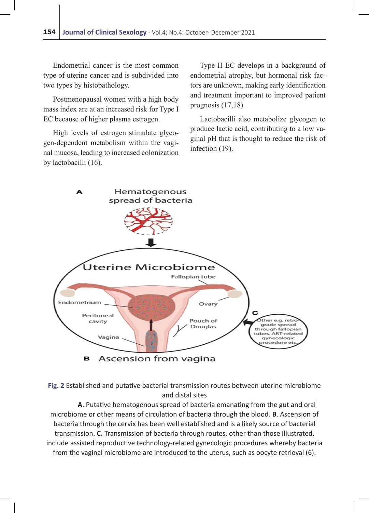Endometrial cancer is the most common type of uterine cancer and is subdivided into two types by histopathology.

Postmenopausal women with a high body mass index are at an increased risk for Type I EC because of higher plasma estrogen.

High levels of estrogen stimulate glycogen-dependent metabolism within the vaginal mucosa, leading to increased colonization by lactobacilli (16).

Type II EC develops in a background of endometrial atrophy, but hormonal risk factors are unknown, making early identification and treatment important to improved patient prognosis (17,18).

Lactobacilli also metabolize glycogen to produce lactic acid, contributing to a low vaginal pH that is thought to reduce the risk of infection (19).



**Fig. 2** Established and putative bacterial transmission routes between uterine microbiome and distal sites

**A**. Putative hematogenous spread of bacteria emanating from the gut and oral microbiome or other means of circulation of bacteria through the blood. **B**. Ascension of bacteria through the cervix has been well established and is a likely source of bacterial transmission. **C.** Transmission of bacteria through routes, other than those illustrated, include assisted reproductive technology-related gynecologic procedures whereby bacteria from the vaginal microbiome are introduced to the uterus, such as oocyte retrieval (6).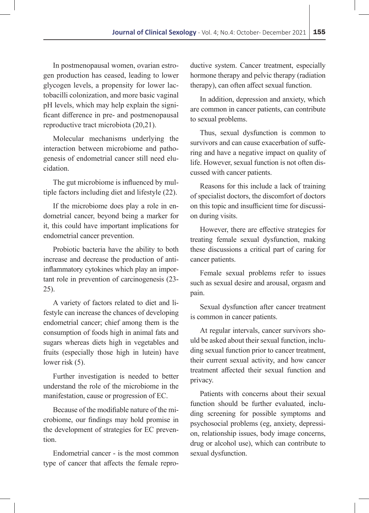In postmenopausal women, ovarian estrogen production has ceased, leading to lower glycogen levels, a propensity for lower lactobacilli colonization, and more basic vaginal pH levels, which may help explain the significant difference in pre- and postmenopausal reproductive tract microbiota (20,21).

Molecular mechanisms underlying the interaction between microbiome and pathogenesis of endometrial cancer still need elucidation.

The gut microbiome is influenced by multiple factors including diet and lifestyle (22).

If the microbiome does play a role in endometrial cancer, beyond being a marker for it, this could have important implications for endometrial cancer prevention.

Probiotic bacteria have the ability to both increase and decrease the production of antiinflammatory cytokines which play an important role in prevention of carcinogenesis (23- 25).

A variety of factors related to diet and lifestyle can increase the chances of developing endometrial cancer; chief among them is the consumption of foods high in animal fats and sugars whereas diets high in vegetables and fruits (especially those high in lutein) have lower risk  $(5)$ .

Further investigation is needed to better understand the role of the microbiome in the manifestation, cause or progression of EC.

Because of the modifiable nature of the microbiome, our findings may hold promise in the development of strategies for EC prevention.

Endometrial cancer - is the most common type of cancer that affects the female repro-

ductive system. Cancer treatment, especially hormone therapy and pelvic therapy (radiation therapy), can often affect sexual function.

In addition, depression and anxiety, which are common in cancer patients, can contribute to sexual problems.

Thus, sexual dysfunction is common to survivors and can cause exacerbation of suffering and have a negative impact on quality of life. However, sexual function is not often discussed with cancer patients.

Reasons for this include a lack of training of specialist doctors, the discomfort of doctors on this topic and insufficient time for discussion during visits.

However, there are effective strategies for treating female sexual dysfunction, making these discussions a critical part of caring for cancer patients.

Female sexual problems refer to issues such as sexual desire and arousal, orgasm and pain.

Sexual dysfunction after cancer treatment is common in cancer patients.

At regular intervals, cancer survivors should be asked about their sexual function, including sexual function prior to cancer treatment, their current sexual activity, and how cancer treatment affected their sexual function and privacy.

Patients with concerns about their sexual function should be further evaluated, including screening for possible symptoms and psychosocial problems (eg, anxiety, depression, relationship issues, body image concerns, drug or alcohol use), which can contribute to sexual dysfunction.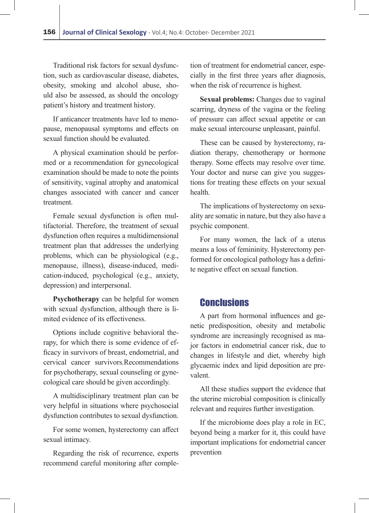Traditional risk factors for sexual dysfunction, such as cardiovascular disease, diabetes, obesity, smoking and alcohol abuse, should also be assessed, as should the oncology patient's history and treatment history.

If anticancer treatments have led to menopause, menopausal symptoms and effects on sexual function should be evaluated.

A physical examination should be performed or a recommendation for gynecological examination should be made to note the points of sensitivity, vaginal atrophy and anatomical changes associated with cancer and cancer treatment.

Female sexual dysfunction is often multifactorial. Therefore, the treatment of sexual dysfunction often requires a multidimensional treatment plan that addresses the underlying problems, which can be physiological (e.g., menopause, illness), disease-induced, medication-induced, psychological (e.g., anxiety, depression) and interpersonal.

**Psychotherapy** can be helpful for women with sexual dysfunction, although there is limited evidence of its effectiveness.

Options include cognitive behavioral therapy, for which there is some evidence of efficacy in survivors of breast, endometrial, and cervical cancer survivors.Recommendations for psychotherapy, sexual counseling or gynecological care should be given accordingly.

A multidisciplinary treatment plan can be very helpful in situations where psychosocial dysfunction contributes to sexual dysfunction.

For some women, hysterectomy can affect sexual intimacy.

Regarding the risk of recurrence, experts recommend careful monitoring after completion of treatment for endometrial cancer, especially in the first three years after diagnosis, when the risk of recurrence is highest.

**Sexual problems:** Changes due to vaginal scarring, dryness of the vagina or the feeling of pressure can affect sexual appetite or can make sexual intercourse unpleasant, painful.

These can be caused by hysterectomy, radiation therapy, chemotherapy or hormone therapy. Some effects may resolve over time. Your doctor and nurse can give you suggestions for treating these effects on your sexual health.

The implications of hysterectomy on sexuality are somatic in nature, but they also have a psychic component.

For many women, the lack of a uterus means a loss of femininity. Hysterectomy performed for oncological pathology has a definite negative effect on sexual function.

### **Conclusions**

A part from hormonal influences and genetic predisposition, obesity and metabolic syndrome are increasingly recognised as major factors in endometrial cancer risk, due to changes in lifestyle and diet, whereby high glycaemic index and lipid deposition are prevalent.

All these studies support the evidence that the uterine microbial composition is clinically relevant and requires further investigation.

If the microbiome does play a role in EC, beyond being a marker for it, this could have important implications for endometrial cancer prevention